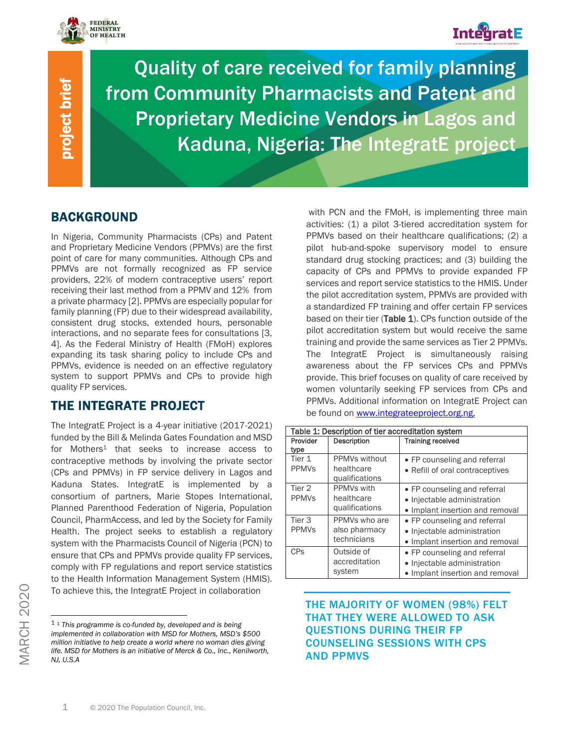

project brief

project brief



Quality of care received for family planning from Community Pharmacists and Patent and Proprietary Medicine Vendors in Lagos and Kaduna, Nigeria: The IntegratE project

# BACKGROUND

In Nigeria, Community Pharmacists (CPs) and Patent and Proprietary Medicine Vendors (PPMVs) are the first point of care for many communities. Although CPs and PPMVs are not formally recognized as FP service providers, 22% of modern contraceptive users' report receiving their last method from a PPMV and 12% from a private pharmacy [2]. PPMVs are especially popular for family planning (FP) due to their widespread availability, consistent drug stocks, extended hours, personable interactions, and no separate fees for consultations [3, 4]. As the Federal Ministry of Health (FMoH) explores expanding its task sharing policy to include CPs and PPMVs, evidence is needed on an effective regulatory system to support PPMVs and CPs to provide high quality FP services.

# THE INTEGRATE PROJECT

The IntegratE Project is a 4-year initiative (2017-2021) funded by the Bill & Melinda Gates Foundation and MSD for Mothers<sup>1</sup> that seeks to increase access to contraceptive methods by involving the private sector (CPs and PPMVs) in FP service delivery in Lagos and Kaduna States. IntegratE is implemented by a consortium of partners, Marie Stopes International, Planned Parenthood Federation of Nigeria, Population Council, PharmAccess, and led by the Society for Family Health. The project seeks to establish a regulatory system with the Pharmacists Council of Nigeria (PCN) to ensure that CPs and PPMVs provide quality FP services, comply with FP regulations and report service statistics to the Health Information Management System (HMIS). To achieve this, the IntegratE Project in collaboration

with PCN and the FMoH, is implementing three main activities: (1) a pilot 3-tiered accreditation system for PPMVs based on their healthcare qualifications; (2) a pilot hub-and-spoke supervisory model to ensure standard drug stocking practices; and (3) building the capacity of CPs and PPMVs to provide expanded FP services and report service statistics to the HMIS. Under the pilot accreditation system, PPMVs are provided with a standardized FP training and offer certain FP services based on their tier (Table 1). CPs function outside of the pilot accreditation system but would receive the same training and provide the same services as Tier 2 PPMVs. The IntegratE Project is simultaneously raising awareness about the FP services CPs and PPMVs provide. This brief focuses on quality of care received by women voluntarily seeking FP services from CPs and PPMVs. Additional information on IntegratE Project can be found on [www.integrateeproject.org.ng.](http://www.integrateeproject.org.ng/)

| Table 1: Description of tier accreditation system |                                               |                                 |  |  |
|---------------------------------------------------|-----------------------------------------------|---------------------------------|--|--|
| Provider                                          | Description                                   | <b>Training received</b>        |  |  |
| type                                              |                                               |                                 |  |  |
| Tier 1                                            | PPMVs without                                 | • FP counseling and referral    |  |  |
| <b>PPMV<sub>S</sub></b>                           | healthcare                                    | • Refill of oral contraceptives |  |  |
|                                                   | qualifications                                |                                 |  |  |
| Tier 2                                            | PPMVs with                                    | • FP counseling and referral    |  |  |
| <b>PPMV<sub>S</sub></b>                           | healthcare<br>qualifications                  | • Injectable administration     |  |  |
|                                                   |                                               | · Implant insertion and removal |  |  |
| Tier <sub>3</sub>                                 | PPMVs who are<br>also pharmacy<br>technicians | • FP counseling and referral    |  |  |
| <b>PPMVs</b>                                      |                                               | • Injectable administration     |  |  |
|                                                   |                                               | • Implant insertion and removal |  |  |
| <b>CP<sub>S</sub></b>                             | Outside of<br>accreditation<br>system         | • FP counseling and referral    |  |  |
|                                                   |                                               | • Injectable administration     |  |  |
|                                                   |                                               | • Implant insertion and removal |  |  |

## THE MAJORITY OF WOMEN (98%) FELT THAT THEY WERE ALLOWED TO ASK QUESTIONS DURING THEIR FP COUNSELING SESSIONS WITH CPS AND PPMVS

<sup>1</sup> <sup>1</sup> *This programme is co-funded by, developed and is being implemented in collaboration with MSD for Mothers, MSD's \$500 million initiative to help create a world where no woman dies giving life. MSD for Mothers is an initiative of Merck & Co., Inc., Kenilworth, NJ, U.S.A*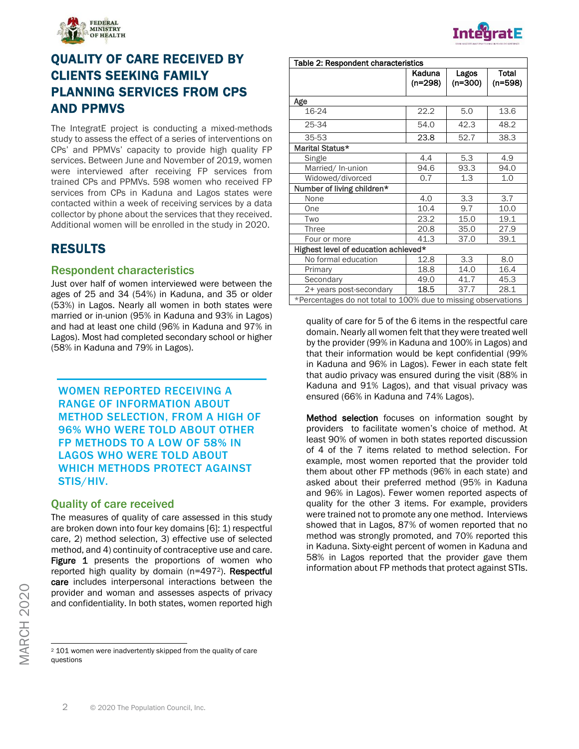

# QUALITY OF CARE RECEIVED BY CLIENTS SEEKING FAMILY PLANNING SERVICES FROM CPS AND PPMVS

The IntegratE project is conducting a mixed-methods study to assess the effect of a series of interventions on CPs' and PPMVs' capacity to provide high quality FP services. Between June and November of 2019, women were interviewed after receiving FP services from trained CPs and PPMVs. 598 women who received FP services from CPs in Kaduna and Lagos states were contacted within a week of receiving services by a data collector by phone about the services that they received. Additional women will be enrolled in the study in 2020.

# RESULTS

### Respondent characteristics

Just over half of women interviewed were between the ages of 25 and 34 (54%) in Kaduna, and 35 or older (53%) in Lagos. Nearly all women in both states were married or in-union (95% in Kaduna and 93% in Lagos) and had at least one child (96% in Kaduna and 97% in Lagos). Most had completed secondary school or higher (58% in Kaduna and 79% in Lagos).

## WOMEN REPORTED RECEIVING A RANGE OF INFORMATION ABOUT METHOD SELECTION, FROM A HIGH OF 96% WHO WERE TOLD ABOUT OTHER FP METHODS TO A LOW OF 58% IN LAGOS WHO WERE TOLD ABOUT WHICH METHODS PROTECT AGAINST STIS/HIV.

#### Quality of care received

The measures of quality of care assessed in this study are broken down into four key domains [6]: 1) respectful care, 2) method selection, 3) effective use of selected method, and 4) continuity of contraceptive use and care. Figure 1 presents the proportions of women who reported high quality by domain (n=4972). Respectful care includes interpersonal interactions between the provider and woman and assesses aspects of privacy and confidentiality. In both states, women reported high

|                                     |                     |                    | <b>IntegratE</b><br>Protein A.C. Infrast has already below the weapons with policies and with a spokers. |  |  |
|-------------------------------------|---------------------|--------------------|----------------------------------------------------------------------------------------------------------|--|--|
| Table 2: Respondent characteristics |                     |                    |                                                                                                          |  |  |
|                                     | Kaduna<br>$(n=298)$ | Lagos<br>$(n=300)$ | Total<br>$(n=598)$                                                                                       |  |  |
| Age                                 |                     |                    |                                                                                                          |  |  |
| $16-24$                             | 22.2                | 5.0                | 13.6                                                                                                     |  |  |
| 25-34                               | 54.0                | 42.3               | 48.2                                                                                                     |  |  |
| 35-53                               | 23.8                | 52.7               | 38.3                                                                                                     |  |  |
| Marital Status*                     |                     |                    |                                                                                                          |  |  |
| Single                              | 4.4                 | 5.3                | 4.9                                                                                                      |  |  |
| Married/In-union                    | 94.6                | 93.3               | 94.0                                                                                                     |  |  |
| Widowed/divorced                    | 0.7                 | 1.3                | 1.0                                                                                                      |  |  |
| Number of living children*          |                     |                    |                                                                                                          |  |  |
| None                                | 4.0                 | 3.3                | 3.7                                                                                                      |  |  |

quality of care for 5 of the 6 items in the respectful care Four or more 41.3 37.0 39.1 Highest level of education achieved\* No formal education | 12.8 | 3.3 | 8.0 Primary 18.8 14.0 16.4 Secondary 19.0 41.7 45.3 2+ years post-secondary | 18.5 | 37.7 | 28.1 \*Percentages do not total to 100% due to missing observations

One 10.4 9.7 10.0 Two 23.2 15.0 19.1 Three 20.8 35.0 27.9

domain. Nearly all women felt that they were treated well by the provider (99% in Kaduna and 100% in Lagos) and that their information would be kept confidential (99% in Kaduna and 96% in Lagos). Fewer in each state felt that audio privacy was ensured during the visit (88% in Kaduna and 91% Lagos), and that visual privacy was ensured (66% in Kaduna and 74% Lagos).

**Method selection** focuses on information sought by providers to facilitate women's choice of method. At least 90% of women in both states reported discussion of 4 of the 7 items related to method selection. For example, most women reported that the provider told them about other FP methods (96% in each state) and asked about their preferred method (95% in Kaduna and 96% in Lagos). Fewer women reported aspects of quality for the other 3 items. For example, providers were trained not to promote any one method. Interviews showed that in Lagos, 87% of women reported that no method was strongly promoted, and 70% reported this in Kaduna. Sixty-eight percent of women in Kaduna and 58% in Lagos reported that the provider gave them information about FP methods that protect against STIs.

<sup>2</sup> 101 women were inadvertently skipped from the quality of care questions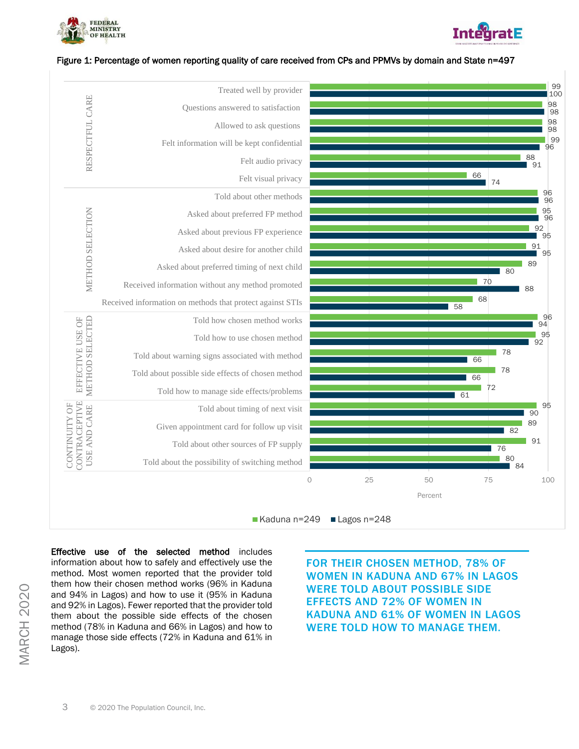



#### Figure 1: Percentage of women reporting quality of care received from CPs and PPMVs by domain and State n=497



Effective use of the selected method includes information about how to safely and effectively use the method. Most women reported that the provider told them how their chosen method works (96% in Kaduna and 94% in Lagos) and how to use it (95% in Kaduna and 92% in Lagos). Fewer reported that the provider told them about the possible side effects of the chosen method (78% in Kaduna and 66% in Lagos) and how to manage those side effects (72% in Kaduna and 61% in Lagos).

FOR THEIR CHOSEN METHOD, 78% OF WOMEN IN KADUNA AND 67% IN LAGOS WERE TOLD ABOUT POSSIBLE SIDE EFFECTS AND 72% OF WOMEN IN KADUNA AND 61% OF WOMEN IN LAGOS WERE TOLD HOW TO MANAGE THEM.